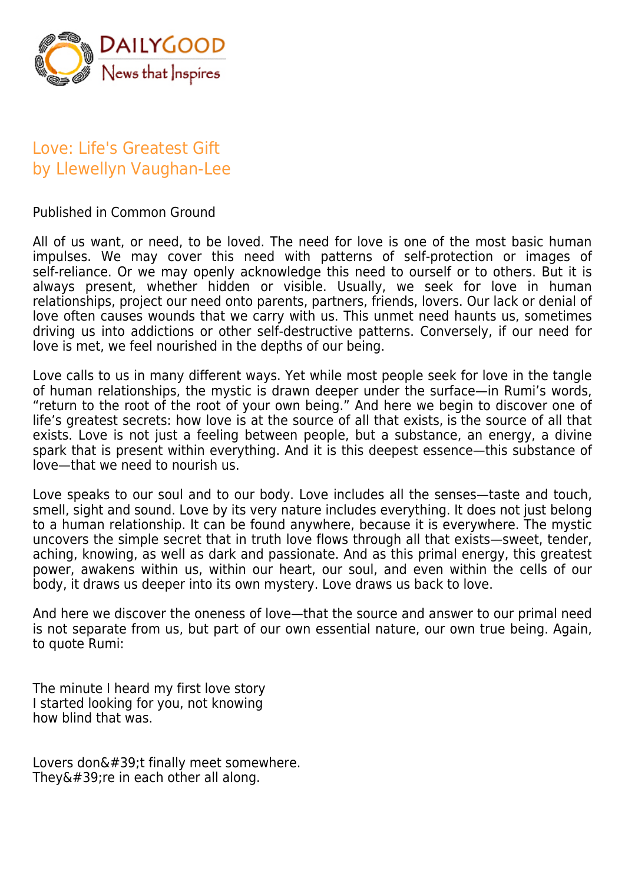

## Love: Life's Greatest Gift by Llewellyn Vaughan-Lee

Published in Common Ground

All of us want, or need, to be loved. The need for love is one of the most basic human impulses. We may cover this need with patterns of self-protection or images of self-reliance. Or we may openly acknowledge this need to ourself or to others. But it is always present, whether hidden or visible. Usually, we seek for love in human relationships, project our need onto parents, partners, friends, lovers. Our lack or denial of love often causes wounds that we carry with us. This unmet need haunts us, sometimes driving us into addictions or other self-destructive patterns. Conversely, if our need for love is met, we feel nourished in the depths of our being.

Love calls to us in many different ways. Yet while most people seek for love in the tangle of human relationships, the mystic is drawn deeper under the surface—in Rumi's words, "return to the root of the root of your own being." And here we begin to discover one of life's greatest secrets: how love is at the source of all that exists, is the source of all that exists. Love is not just a feeling between people, but a substance, an energy, a divine spark that is present within everything. And it is this deepest essence—this substance of love—that we need to nourish us.

Love speaks to our soul and to our body. Love includes all the senses—taste and touch, smell, sight and sound. Love by its very nature includes everything. It does not just belong to a human relationship. It can be found anywhere, because it is everywhere. The mystic uncovers the simple secret that in truth love flows through all that exists—sweet, tender, aching, knowing, as well as dark and passionate. And as this primal energy, this greatest power, awakens within us, within our heart, our soul, and even within the cells of our body, it draws us deeper into its own mystery. Love draws us back to love.

And here we discover the oneness of love—that the source and answer to our primal need is not separate from us, but part of our own essential nature, our own true being. Again, to quote Rumi:

The minute I heard my first love story I started looking for you, not knowing how blind that was.

Lovers don $'$ ;t finally meet somewhere. They $&\#39$ ; re in each other all along.